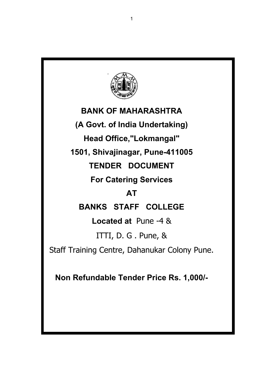

# **BANK OF MAHARASHTRA (A Govt. of India Undertaking) Head Office,"Lokmangal" 1501, Shivajinagar, Pune-411005 TENDER DOCUMENT For Catering Services AT BANKS STAFF COLLEGE Located at** Pune -4 & ITTI, D. G . Pune, & Staff Training Centre, Dahanukar Colony Pune.

**Non Refundable Tender Price Rs. 1,000/-**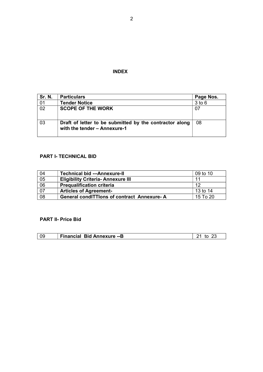## **INDEX**

| <b>Sr. N.</b>   | <b>Particulars</b>                                                                      | Page Nos.  |
|-----------------|-----------------------------------------------------------------------------------------|------------|
| 01              | <b>Tender Notice</b>                                                                    | $3$ to $6$ |
| $\overline{02}$ | <b>SCOPE OF THE WORK</b>                                                                | 07         |
| 03              | Draft of letter to be submitted by the contractor along<br>with the tender - Annexure-1 | 08         |

## **PART I- TECHNICAL BID**

| 04 | <b>Technical bid ---Annexure-II</b>               | 09 to 10 |
|----|---------------------------------------------------|----------|
| 05 | <b>Eligibility Criteria- Annexure III</b>         |          |
| 06 | <b>Prequalification criteria</b>                  | 12       |
| 07 | <b>Articles of Agreement-</b>                     | 13 to 14 |
| 08 | <b>General condiTTions of contract Annexure-A</b> | 15 To 20 |

## **PART II- Price Bid**

| <b>Financial Bid Annexure -- B</b> |  |
|------------------------------------|--|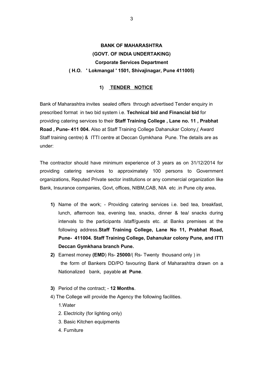# **BANK OF MAHARASHTRA (GOVT. OF INDIA UNDERTAKING) Corporate Services Department ( H.O. ' Lokmangal ' 1501, Shivajinagar, Pune 411005)**

## **1) TENDER NOTICE**

Bank of Maharashtra invites sealed offers through advertised Tender enquiry in prescribed format in two bid system i.e. **Technical bid and Financial bid** for providing catering services to their **Staff Training College , Lane no. 11 , Prabhat Road , Pune- 411 004.** Also at Staff Training College Dahanukar Colony,( Award Staff training centre) & ITTI centre at Deccan Gymkhana Pune. The details are as under:

The contractor should have minimum experience of 3 years as on 31/12/2014 for providing catering services to approximately 100 persons to Government organizations, Reputed Private sector institutions or any commercial organization like Bank, Insurance companies, Govt, offices, NIBM,CAB, NIA etc .in Pune city area**.**

- **1)** Name of the work; Providing catering services i.e. bed tea, breakfast, lunch, afternoon tea, evening tea, snacks, dinner & tea/ snacks during intervals to the participants /staff/guests etc. at Banks premises at the following address.**Staff Training College, Lane No 11, Prabhat Road, Pune- 411004. Staff Training College, Dahanukar colony Pune, and ITTI Deccan Gymkhana branch Pune.**
- **2)** Earnest money **(EMD**) Rs- **25000**/( Rs- Twenty thousand only ) in the form of Bankers DD/PO favouring Bank of Maharashtra drawn on a Nationalized bank, payable **at Pune**.
- **3)** Period of the contract; **12 Months**.
- 4) The College will provide the Agency the following facilities. 1.Water
	- 2. Electricity (for lighting only)
	- 3. Basic Kitchen equipments
	- 4. Furniture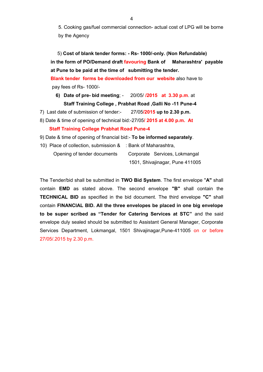5. Cooking gas/fuel commercial connection- actual cost of LPG will be borne by the Agency

 5) **Cost of blank tender forms: - Rs- 1000/-only. (Non Refundable) in the form of PO/Demand draft favouring Bank of Maharashtra' payable at Pune to be paid at the time of submitting the tender.**

 **Blank tender forms be downloaded from our website** also have to pay fees of Rs- 1000/-

- **6) Date of pre- bid meeting**; 20/05/ **/2015 at 3.30 p.m**. at **Staff Training College , Prabhat Road ,Galli No -11 Pune-4**
- 7) Last date of submission of tender:- 27/05**/2015 up to 2.30 p.m.**
- 8) Date & time of opening of technical bid:-27/05**/ 2015 at 4.00 p.m. At Staff Training College Prabhat Road Pune-4**
- 9) Date & time of opening of financial bid:- **To be informed separately**.
- 10) Place of collection, submission & : Bank of Maharashtra, Opening of tender documents Corporate Services, Lokmangal 1501, Shivajinagar, Pune 411005

The Tender/bid shall be submitted in **TWO Bid System**. The first envelope "**A"** shall contain **EMD** as stated above. The second envelope **"B"** shall contain the **TECHNICAL BID** as specified in the bid document. The third envelope **"C"** shall contain **FINANCIAL BID. All the three envelopes be placed in one big envelope to be super scribed as "Tender for Catering Services at STC"** and the said envelope duly sealed should be submitted to Assistant General Manager, Corporate Services Department, Lokmangal, 1501 Shivajinagar,Pune-411005 on or before 27/05/.2015 by 2.30 p.m.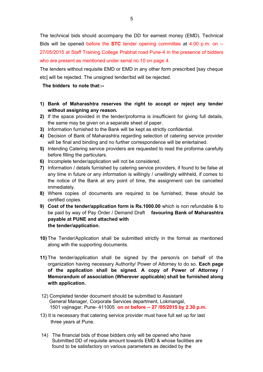The technical bids should accompany the DD for earnest money (EMD). Technical Bids will be opened before the **STC** tender opening committee at 4.00 p.m. on -- 27/05/2015 at Staff Training College Prabhat road Pune-4 in the presence of bidders who are present as mentioned under serial no.10 on page 4.

The tenders without requisite EMD or EMD in any other form prescribed [say cheque etc] will be rejected. The unsigned tender/bid will be rejected.

## **The bidders to note that:--**

- **1) Bank of Maharashtra reserves the right to accept or reject any tender without assigning any reason.**
- **2)** If the space provided in the tender/proforma is insufficient for giving full details, the same may be given on a separate sheet of paper.
- **3)** Information furnished to the Bank will be kept as strictly confidential.
- **4)** Decision of Bank of Maharashtra regarding selection of catering service provider will be final and binding and no further correspondence will be entertained.
- **5)** Intending Catering service providers are requested to read the proforma carefully before filling the particulars.
- **6)** Incomplete tender/application will not be considered.
- **7)** Information / details furnished by catering service providers, if found to be false at any time in future or any information is willingly / unwillingly withheld, if comes to the notice of the Bank at any point of time, the assignment can be cancelled immediately.
- **8)** Where copies of documents are required to be furnished, these should be certified copies.
- **9) Cost of the tender/application form is Rs.1000.00** which is non refundable & to be paid by way of Pay Order / Demand Draft **favouring Bank of Maharashtra payable at PUNE and attached with the tender/application.**
- **10)** The Tender/Application shall be submitted strictly in the format as mentioned along with the supporting documents.
- **11)** The tender/application shall be signed by the person/s on behalf of the organization having necessary Authority/ Power of Attorney to do so. **Each page of the application shall be signed. A copy of Power of Attorney / Memorandum of association (Wherever applicable) shall be furnished along with application.**
- 12) Completed tender document should be submitted to Assistant General Manager, Corporate Services department, Lokmangal, 1501 vajinagar, Pune- 411005 **on or before -- 27 /05/2015 by 2.30 p.m.**
- 13) It is necessary that catering service provider must have full set up for last three years at Pune.
- 14) The financial bids of those bidders only will be opened who have Submitted DD of requisite amount towards EMD & whose facilities are found to be satisfactory on various parameters as decided by the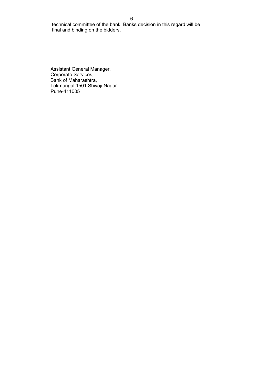6

 technical committee of the bank. Banks decision in this regard will be final and binding on the bidders.

Assistant General Manager, Corporate Services, Bank of Maharashtra, Lokmangal 1501 Shivaji Nagar Pune-411005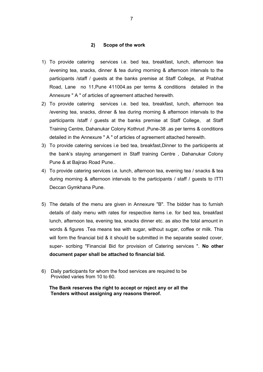#### **2) Scope of the work**

- 1) To provide catering services i.e. bed tea, breakfast, lunch, afternoon tea /evening tea, snacks, dinner & tea during morning & afternoon intervals to the participants /staff / guests at the banks premise at Staff College, at Prabhat Road, Lane no 11,Pune 411004.as per terms & conditions detailed in the Annexure " A " of articles of agreement attached herewith.
- 2) To provide catering services i.e. bed tea, breakfast, lunch, afternoon tea /evening tea, snacks, dinner & tea during morning & afternoon intervals to the participants /staff / guests at the banks premise at Staff College, at Staff Training Centre, Dahanukar Colony Kothrud ,Pune-38 .as per terms & conditions detailed in the Annexure " A " of articles of agreement attached herewith.
- 3) To provide catering services i.e bed tea, breakfast,Dinner to the participents at the bank's staying arrangement in Staff training Centre , Dahanukar Colony Pune & at Bajirao Road Pune..
- 4) To provide catering services i.e. lunch, afternoon tea, evening tea / snacks & tea during morning & afternoon intervals to the participants / staff / guests to ITTI Deccan Gymkhana Pune.
- 5) The details of the menu are given in Annexure "B". The bidder has to furnish details of daily menu with rates for respective items i.e. for bed tea, breakfast lunch, afternoon tea, evening tea, snacks dinner etc. as also the total amount in words & figures .Tea means tea with sugar, without sugar, coffee or milk. This will form the financial bid & it should be submitted in the separate sealed cover, super- scribing "Financial Bid for provision of Catering services ". **No other document paper shall be attached to financial bid.**
- 6) Daily participants for whom the food services are required to be Provided varies from 10 to 60.

 **The Bank reserves the right to accept or reject any or all the Tenders without assigning any reasons thereof.**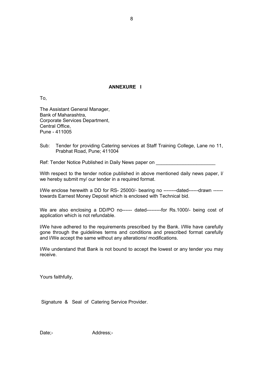## **ANNEXURE I**

To,

The Assistant General Manager, Bank of Maharashtra, Corporate Services Department, Central Office, Pune - 411005

Sub: Tender for providing Catering services at Staff Training College, Lane no 11, Prabhat Road, Pune; 411004

Ref: Tender Notice Published in Daily News paper on

With respect to the tender notice published in above mentioned daily news paper, I/ we hereby submit my/ our tender in a required format.

I/We enclose herewith a DD for RS- 25000/- bearing no --------dated------drawn ----- towards Earnest Money Deposit which is enclosed with Technical bid.

We are also enclosing a DD/PO no------ dated---------for Rs.1000/- being cost of application which is not refundable.

l/We have adhered to the requirements prescribed by the Bank. l/We have carefully gone through the guidelines terms and conditions and prescribed format carefully and l/We accept the same without any alterations/ modifications.

I/We understand that Bank is not bound to accept the lowest or any tender you may receive.

Yours faithfully,

Signature & Seal of Catering Service Provider.

Date;- Address;-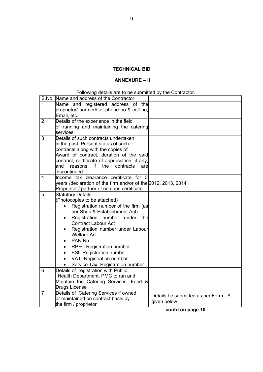## **TECHNICAL BID**

## **ANNEXURE – II**

## Following details are to be submitted by the Contractor.

| S.No           | Name and address of the Contractor                            |                                      |
|----------------|---------------------------------------------------------------|--------------------------------------|
| 1              | Name and registered address of the                            |                                      |
|                | proprietor/ partner/Co, phone no & cell no,                   |                                      |
|                | Email, etc.                                                   |                                      |
| $\overline{2}$ | Details of the experience in the field                        |                                      |
|                | of running and maintaining the catering                       |                                      |
|                | services.                                                     |                                      |
| 3              | Details of such contracts undertaken                          |                                      |
|                | in the past. Present status of such                           |                                      |
|                | contracts along with the copies of                            |                                      |
|                | Award of contract, duration of the said                       |                                      |
|                | contract, certificate of appreciation, if any,                |                                      |
|                | if<br>the<br>contracts<br>and<br>reasons<br>arel              |                                      |
|                | discontinued.                                                 |                                      |
| 4              | Income tax clearance certificate for 3                        |                                      |
|                | years /declaration of the firm and/or of the 2012, 2013, 2014 |                                      |
|                | Proprietor / partner of no dues certificate                   |                                      |
| 5              | <b>Statutory Details</b>                                      |                                      |
|                | (Photocopies to be attached)                                  |                                      |
|                | Registration number of the firm (as<br>$\bullet$              |                                      |
|                | per Shop & Establishment Act)                                 |                                      |
|                | Registration number under the<br>$\bullet$                    |                                      |
|                | <b>Contract Labour Act</b>                                    |                                      |
|                | Registration number under Labour                              |                                      |
|                | <b>Welfare Act</b>                                            |                                      |
|                | PAN No<br>$\bullet$                                           |                                      |
|                | <b>RPFC Registration number</b><br>$\bullet$                  |                                      |
|                | <b>ESI- Registration number</b><br>$\bullet$                  |                                      |
|                | VAT- Registration number                                      |                                      |
|                | Service Tax- Registration number<br>٠                         |                                      |
| 6              | Details of registration with Public                           |                                      |
|                | Health Department, PMC to run and                             |                                      |
|                | Maintain the Catering Services. Food &                        |                                      |
|                | Drugs License                                                 |                                      |
| $\overline{7}$ | Details of Catering Services if owned                         | Details be submitted as per Form - A |
|                | or maintained on contract basis by                            | given below                          |
|                | the firm / proprietor                                         |                                      |
|                |                                                               | contd on page 10                     |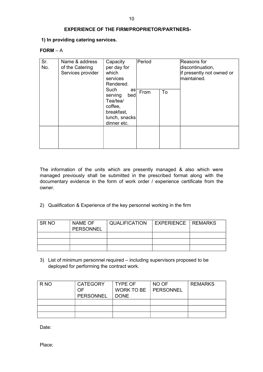## **EXPERIENCE OF THE FIRM/PROPRIETOR/PARTNERS-**

## **1) In providing catering services.**

#### **FORM** – A

| Sr.<br>No. | Name & address<br>of the Catering<br>Services provider | Capacity<br>per day for<br>which<br>services<br>Rendered.                                         |      | Period |  |  | Reasons for<br>discontinuation,<br>if presently not owned or<br>maintained. |
|------------|--------------------------------------------------------|---------------------------------------------------------------------------------------------------|------|--------|--|--|-----------------------------------------------------------------------------|
|            |                                                        | Such<br>as<br>bed<br>serving<br>Tea/tea/<br>coffee,<br>breakfast,<br>lunch, snacks<br>dinner etc. | From | To     |  |  |                                                                             |
|            |                                                        |                                                                                                   |      |        |  |  |                                                                             |

The information of the units which are presently managed & also which were managed previously shall be submitted in the prescribed format along with the documentary evidence in the form of work order / experience certificate from the owner.

2) Qualification & Experience of the key personnel working in the firm

| SR NO | NAME OF<br>PERSONNEL | <b>QUALIFICATION</b> | EXPERIENCE   REMARKS |  |
|-------|----------------------|----------------------|----------------------|--|
|       |                      |                      |                      |  |
|       |                      |                      |                      |  |
|       |                      |                      |                      |  |

3) List of minimum personnel required – including supervisors proposed to be deployed for performing the contract work.

| R NO | <b>CATEGORY</b>  | <b>TYPE OF</b>         | NO OF | <b>REMARKS</b> |
|------|------------------|------------------------|-------|----------------|
|      | OF               | WORK TO BE   PERSONNEL |       |                |
|      | <b>PERSONNEL</b> | <b>DONE</b>            |       |                |
|      |                  |                        |       |                |
|      |                  |                        |       |                |
|      |                  |                        |       |                |

Date:

Place: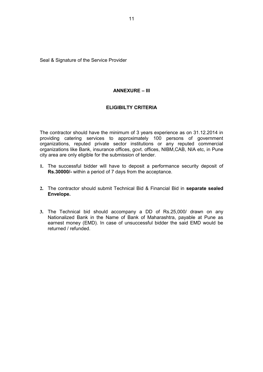Seal & Signature of the Service Provider

## **ANNEXURE – III**

## **ELIGIBILTY CRITERIA**

The contractor should have the minimum of 3 years experience as on 31.12.2014 in providing catering services to approximately 100 persons of government organizations, reputed private sector institutions or any reputed commercial organizations like Bank, insurance offices, govt. offices, NIBM,CAB, NIA etc, in Pune city area are only eligible for the submission of tender.

- **1.** The successful bidder will have to deposit a performance security deposit of **Rs.30000/-** within a period of 7 days from the acceptance.
- **2.** The contractor should submit Technical Bid & Financial Bid in **separate sealed Envelope.**
- **3.** The Technical bid should accompany a DD of Rs.25,000/ drawn on any Nationalized Bank in the Name of Bank of Maharashtra, payable at Pune as earnest money (EMD). In case of unsuccessful bidder the said EMD would be returned / refunded.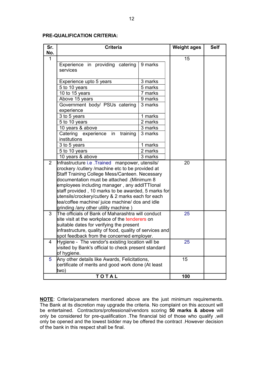## **PRE-QUALIFICATION CRITERIA:**

| Sr.            | <b>Criteria</b>                                          |         | <b>Weight ages</b> | <b>Self</b> |
|----------------|----------------------------------------------------------|---------|--------------------|-------------|
| No.            |                                                          |         |                    |             |
| 1              |                                                          |         | 15                 |             |
|                | Experience in providing catering                         | 9 marks |                    |             |
|                | services                                                 |         |                    |             |
|                |                                                          |         |                    |             |
|                | Experience upto 5 years                                  | 3 marks |                    |             |
|                | 5 to 10 years                                            | 5 marks |                    |             |
|                | 10 to 15 years<br>7 marks                                |         |                    |             |
|                | Above 15 years                                           | 9 marks |                    |             |
|                | Government body/ PSUs catering                           | 3 marks |                    |             |
|                | experience<br>3 to 5 years                               | 1 marks |                    |             |
|                | 5 to 10 years                                            | 2 marks |                    |             |
|                | 10 years & above                                         | 3 marks |                    |             |
|                | Catering experience in<br>training                       | 3 marks |                    |             |
|                | institutions                                             |         |                    |             |
|                | 3 to 5 years                                             | 1 marks |                    |             |
|                | 5 to 10 years                                            | 2 marks |                    |             |
|                | 10 years & above                                         | 3 marks |                    |             |
| $\overline{2}$ | Infrastructure i.e. Trained manpower, utensils/          |         | 20                 |             |
|                | crockery / cutlery / machine etc to be provided at       |         |                    |             |
|                | Staff Training College Mess/Canteen. Necessary           |         |                    |             |
|                | Minimum 8 documentation must be attached.                |         |                    |             |
|                | employees including manager, any addITTIonal             |         |                    |             |
|                | staff provided, 10 marks to be awarded, 5 marks for      |         |                    |             |
|                | utensils/crockery/cutlery & 2 marks each for each        |         |                    |             |
|                | tea/coffee machine/ juice machine/ dos and idle          |         |                    |             |
|                | grinding /any other utility machine)                     |         |                    |             |
| 3              | The officials of Bank of Maharashtra will conduct        |         | 25                 |             |
|                | site visit at the workplace of the tenderers on          |         |                    |             |
|                | suitable dates for verifying the present                 |         |                    |             |
|                | infrastructure, quality of food, quality of services and |         |                    |             |
|                | spot feedback from the concerned employer.               |         |                    |             |
| 4              | Hygiene - The vendor's existing location will be         |         | 25                 |             |
|                | visited by Bank's official to check present standard     |         |                    |             |
|                | of hygiene.                                              |         |                    |             |
| $5^{\circ}$    | Any other details like Awards, Felicitations,            |         | 15                 |             |
|                | certificate of merits and good work done (At least       |         |                    |             |
|                | two)<br>TOTAL                                            |         |                    |             |
|                |                                                          |         | 100                |             |

**NOTE**: Criteria/parameters mentioned above are the just minimum requirements. The Bank at its discretion may upgrade the criteria. No complaint on this account will be entertained. Contractors/professional/vendors scoring **50 marks & above** will only be considered for pre-qualification .The financial bid of those who qualify ,will only be opened and the lowest bidder may be offered the contract .However decision of the bank in this respect shall be final.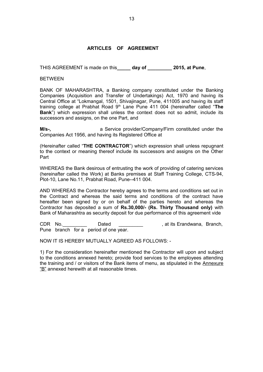## **ARTICLES OF AGREEMENT**

THIS AGREEMENT is made on this**\_\_\_\_\_ day of \_\_\_\_\_\_\_\_\_ 2015, at Pune**,

BETWEEN

BANK OF MAHARASHTRA, a Banking company constituted under the Banking Companies (Acquisition and Transfer of Undertakings) Act, 1970 and having its Central Office at "Lokmangal, 1501, Shivajinagar, Pune, 411005 and having its staff training college at Prabhat Road 9th Lane Pune 411 004 (hereinafter called "**The Bank**") which expression shall unless the context does not so admit, include its successors and assigns, on the one Part, and

**M/s-,** a Service provider/Company/Firm constituted under the Companies Act 1956, and having its Registered Office at

(Hereinafter called "**THE CONTRACTOR**") which expression shall unless repugnant to the context or meaning thereof include its successors and assigns on the Other Part

WHEREAS the Bank desirous of entrusting the work of providing of catering services (hereinafter called the Work) at Banks premises at Staff Training College, CTS-94, Plot-10, Lane No.11, Prabhat Road, Pune--411 004.

AND WHEREAS the Contractor hereby agrees to the terms and conditions set out in the Contract and whereas the said terms and conditions of the contract have hereafter been signed by or on behalf of the parties hereto and whereas the Contractor has deposited a sum of **Rs.30,000/- (Rs. Thirty Thousand only)** with Bank of Maharashtra as security deposit for due performance of this agreement vide

CDR No.\_\_\_\_\_\_\_\_\_ Dated \_\_\_\_\_\_\_\_\_ , at its Erandwana, Branch, Pune branch for a period of one year.

NOW IT IS HEREBY MUTUALLY AGREED AS FOLLOWS: -

1) For the consideration hereinafter mentioned the Contractor will upon and subject to the conditions annexed hereto; provide food services to the employees attending the training and / or visitors of the Bank items of menu, as stipulated in the Annexure "B" annexed herewith at all reasonable times.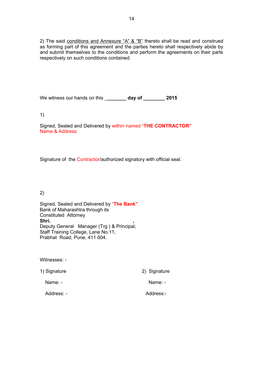2) The said conditions and Annexure "A"  $\&$  "B" thereto shall be read and construed as forming part of this agreement and the parties hereto shall respectively abide by and submit themselves to the conditions and perform the agreements on their parts respectively on such conditions contained.

We witness our hands on this \_**\_\_\_\_\_\_\_ day of \_\_\_\_\_\_\_\_ 2015**

1)

Signed, Sealed and Delivered by within named "**THE CONTRACTOR"** Name & Address:

Signature of the Contractor/authorized signatory with official seal.

2)

Signed, Sealed and Delivered by "**The Bank"** Bank of Maharashtra through its Constituted Attorney Shri. Deputy General Manager (Trg ) & Principal, Staff Training College, Lane No.11, Prabhat Road, Pune, 411 004.

Witnesses: -

1) Signature 2) Signature

Name: - Name: - Name: - Name: - Name: -

Address: - Address:-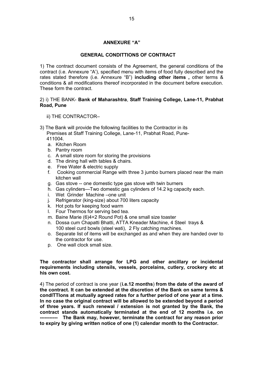## **ANNEXURE "A"**

## **GENERAL CONDITTIONS OF CONTRACT**

1) The contract document consists of the Agreement, the general conditions of the contract (i.e. Annexure "A'), specified menu with items of food fully described and the rates stated therefore (i.e. Annexure "B") **including other items ,** other terms & conditions & all modifications thereof incorporated in the document before execution. These form the contract.

## 2) i) THE BANK- **Bank of Maharashtra**, **Staff Training College, Lane-11, Prabhat Road, Pune**

- ii) THE CONTRACTOR–
- 3) The Bank will provide the following facilities to the Contractor in its Premises at Staff Training College, Lane-11, Prabhat Road, Pune- 411004.
	- a. Kitchen Room
	- b. Pantry room
	- c. A small store room for storing the provisions
	- d. The dining hall with tables & chairs.
	- e. Free Water & electric supply
	- f. Cooking commercial Range with three 3 jumbo burners placed near the main kitchen wall
	- g. Gas stove -- one domestic type gas stove with twin burners
	- h. Gas cylinders—Two domestic gas cylinders of 14.2 kg capacity each.
	- i. Wet Grinder Machine –one unit
	- j. Refrigerator (king-size) about 700 liters capacity
	- k. Hot pots for keeping food warm
	- l. Four Thermos for serving bed tea.
	- m. Baine Marie (6)4+2 Round Pot) & one small size toaster
	- n. Dossa cum Chapatti Bhatti, ATTA Kneader Machine, 4 Steel trays & 100 steel curd bowls (steel wati), 2 Fly catching machines.
	- o. Separate list of items will be exchanged as and when they are handed over to the contractor for use.
	- p. One wall clock small size.

## **The contractor shall arrange for LPG and other ancillary or incidental requirements including utensils, vessels, porcelains, cutlery, crockery etc at his own cost.**

4) The period of contract is one year (**i.e.12 months**) **from the date of the award of the contract. It can be extended at the discretion of the Bank on same terms & condITTIons at mutually agreed rates for a further period of one year at a time. In no case the original contract will be allowed to be extended beyond a period of three years. If such renewal / extension is not granted by the Bank, the contract stands automatically terminated at the end of 12 months i.e. on ----------- The Bank may, however, terminate the contract for any reason prior to expiry by giving written notice of one (1) calendar month to the Contractor.**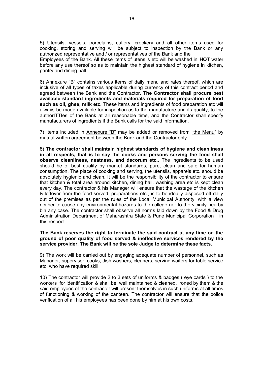5) Utensils, vessels, porcelains, cutlery, crockery and all other items used for cooking, storing and serving will be subject to inspection by the Bank or any authorized representative and / or representatives of the Bank and the Employees of the Bank. All these items of utensils etc will be washed in **HOT** water before any use thereof so as to maintain the highest standard of hygiene in kitchen, pantry and dining hall.

6) Annexure "B" contains various items of daily menu and rates thereof, which are inclusive of all types of taxes applicable during currency of this contract period and agreed between the Bank and the Contractor. **The Contractor shall procure best available standard ingredients and materials required for preparation of food such as oil, ghee, milk etc.** These items and ingredients of food preparation etc will always be made available for inspection as to the manufacture and its quality, to the authorITTIes of the Bank at all reasonable time, and the Contractor shall specify manufacturers of ingredients if the Bank calls for the said information.

7) Items included in Annexure "B" may be added or removed from "the Menu" by mutual written agreement between the Bank and the Contractor only.

8) **The contractor shall maintain highest standards of hygiene and cleanliness in all respects, that is to say the cooks and persons serving the food shall observe cleanliness, neatness, and decorum etc.**. The ingredients to be used should be of best quality by market standards, pure, clean and safe for human consumption. The place of cooking and serving, the utensils, apparels etc. should be absolutely hygienic and clean. It will be the responsibility of the contractor to ensure that kitchen & total area around kitchen, dining hall, washing area etc is kept clean every day. The contractor & his Manager will ensure that the wastage of the kitchen & leftover from the food served, preparations etc., is to be ideally disposed off daily out of the premises as per the rules of the Local Municipal Authority; with a view neither to cause any environmental hazards to the college nor to the vicinity nearby bin any case. The contractor shall observe all norms laid down by the Food & Drug Administration Department of Maharashtra State & Pune Municipal Corporation in this respect.

#### **The Bank reserves the right to terminate the said contract at any time on the ground of poor quality of food served & ineffective services rendered by the service provider. The Bank will be the sole Judge to determine these facts.**

9) The work will be carried out by engaging adequate number of personnel, such as Manager, supervisor, cooks, dish washers, cleaners, serving waiters for table service etc. who have required skill.

10) The contractor will provide 2 to 3 sets of uniforms & badges ( eye cards ) to the workers for identification & shall be well maintained & cleaned, ironed by them & the said employees of the contractor will present themselves in such uniforms at all times of functioning & working of the canteen. The contractor will ensure that the police verification of all his employees has been done by him at his own costs.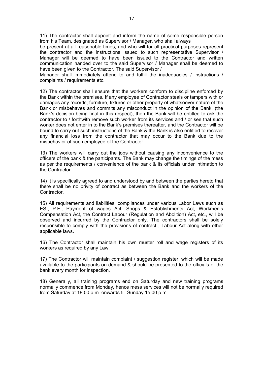11) The contractor shall appoint and inform the name of some responsible person from his Team, designated as Supervisor / Manager, who shall always

be present at all reasonable times, and who will for all practical purposes represent the contractor and the instructions issued to such representative Supervisor / Manager will be deemed to have been issued to the Contractor and written communication handed over to the said Supervisor / Manager shall be deemed to have been given to the Contractor. The said Supervisor /

Manager shall immediately attend to and fulfill the inadequacies / instructions / complaints / requirements etc.

12) The contractor shall ensure that the workers conform to discipline enforced by the Bank within the premises. If any employee of Contractor steals or tampers with or damages any records, furniture, fixtures or other property of whatsoever nature of the Bank or misbehaves and commits any misconduct in the opinion of the Bank, (the Bank's decision being final in this respect), then the Bank will be entitled to ask the contractor to / forthwith remove such worker from its services and / or see that such worker does not enter in to the Bank's premises thereafter, and the Contractor will be bound to carry out such instructions of the Bank & the Bank is also entitled to recover any financial loss from the contractor that may occur to the Bank due to the misbehavior of such employee of the Contractor.

13) The workers will carry out the jobs without causing any inconvenience to the officers of the bank & the participants. The Bank may change the timings of the mess as per the requirements / convenience of the bank & its officials under intimation to the Contractor.

14) It is specifically agreed to and understood by and between the parties hereto that there shall be no privity of contract as between the Bank and the workers of the Contractor.

15) All requirements and liabilities, compliances under various Labor Laws such as ESI, P.F., Payment of wages Act, Shops & Establishments Act, Workmen's Compensation Act, the Contract Labour (Regulation and Abolition) Act, etc., will be observed and incurred by the Contractor only. The contractors shall be solely responsible to comply with the provisions of contract , Labour Act along with other applicable laws.

16) The Contractor shall maintain his own muster roll and wage registers of its workers as required by any Law.

17) The Contractor will maintain complaint / suggestion register, which will be made available to the participants on demand & should be presented to the officials of the bank every month for inspection.

18) Generally, all training programs end on Saturday and new training programs normally commence from Monday, hence mess services will not be normally required from Saturday at 18.00 p.m. onwards till Sunday 15.00 p.m.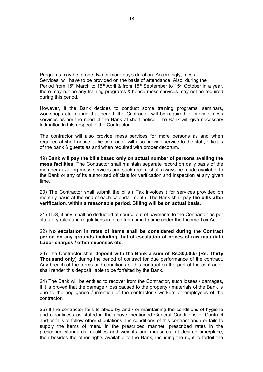Programs may be of one, two or more day's duration. Accordingly, mess Services will have to be provided on the basis of attendance. Also, during the Period from 15<sup>th</sup> March to 15<sup>th</sup> April & from 15<sup>th</sup> September to 15<sup>th</sup> October in a year, there may not be any training programs & hence mess services may not be required during this period.

However, if the Bank decides to conduct some training programs, seminars, workshops etc. during that period, the Contractor will be required to provide mess services as per the need of the Bank at short notice. The Bank will give necessary intimation in this respect to the Contractor.

The contractor will also provide mess services for more persons as and when required at short notice. The contractor will also provide service to the staff, officials of the bank & guests as and when required with proper decorum.

19) **Bank will pay the bills based only on actual number of persons availing the mess facilities.** The Contractor shall maintain separate record on daily basis of the members availing mess services and such record shall always be made available to the Bank or any of its authorized officials for verification and inspection at any given time.

20) The Contractor shall submit the bills ( Tax invoices ) for services provided on monthly basis at the end of each calendar month. The Bank shall pay **the bills after verification, within a reasonable period. Billing will be on actual basis.**

21) TDS, if any, shall be deducted at source out of payments to the Contractor as per statutory rules and regulations in force from time to time under the Income Tax Act.

22) **No escalation in rates of items shall be considered during the Contract period on any grounds including that of escalation of prices of raw material / Labor charges / other expenses etc.**

23) The Contractor shall **deposit with the Bank a sum of Rs.30,000/- (Rs. Thirty Thousand only**) during the period of contract for due performance of the contract. Any breach of the terms and conditions of this contract on the part of the contractor shall render this deposit liable to be forfeited by the Bank.

24) The Bank will be entitled to recover from the Contractor, such losses / damages, if it is proved that the damage / loss caused to the property / materials of the Bank is due to the negligence / intention of the contractor / workers or employees of the contractor.

25) If the contractor fails to abide by and / or maintaining the conditions of hygiene and cleanliness as stated in the above mentioned General Conditions of Contract and or fails to follow other stipulations and conditions of this contract and / or fails to supply the items of menu in the prescribed manner, prescribed rates in the prescribed standards, qualities and weights and measures, at desired time/place; then besides the other rights available to the Bank, including the right to forfeit the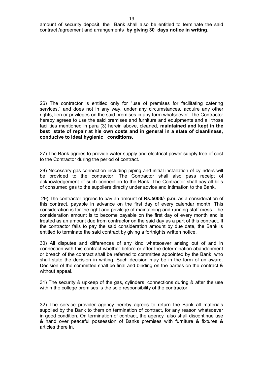26) The contractor is entitled only for "use of premises for facilitating catering services." and does not in any way, under any circumstances, acquire any other rights, lien or privileges on the said premises in any form whatsoever. The Contractor hereby agrees to use the said premises and furniture and equipments and all those facilities mentioned in para (3) herein above, cleaned, **maintained and kept in the best state of repair at his own costs and in general in a state of cleanliness, conducive to ideal hygienic conditions.**

27) The Bank agrees to provide water supply and electrical power supply free of cost to the Contractor during the period of contract.

28) Necessary gas connection including piping and initial installation of cylinders will be provided to the contractor. The Contractor shall also pass receipt of acknowledgement of such connection to the Bank. The Contractor shall pay all bills of consumed gas to the suppliers directly under advice and intimation to the Bank.

29) The contractor agrees to pay an amount of **Rs.5000/- p.m.** as a consideration of this contract, payable in advance on the first day of every calendar month. This consideration is for the right and privilege of maintaining and running staff mess. The consideration amount is to become payable on the first day of every month and is treated as an amount due from contractor on the said day as a part of this contract. If the contractor fails to pay the said consideration amount by due date, the Bank is entitled to terminate the said contract by giving a fortnights written notice.

30) All disputes and differences of any kind whatsoever arising out of and in connection with this contract whether before or after the determination abandonment or breach of the contract shall be referred to committee appointed by the Bank, who shall state the decision in writing. Such decision may be in the form of an award. Decision of the committee shall be final and binding on the parties on the contract & without appeal.

31) The security & upkeep of the gas, cylinders, connections during & after the use within the college premises is the sole responsibility of the contractor.

32) The service provider agency hereby agrees to return the Bank all materials supplied by the Bank to them on termination of contract, for any reason whatsoever in good condition. On termination of contract, the agency also shall discontinue use & hand over peaceful possession of Banks premises with furniture & fixtures & articles there in.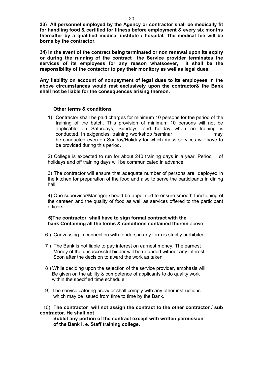**33) All personnel employed by the Agency or contractor shall be medically fit for handling food & certified for fitness before employment & every six months thereafter by a qualified medical institute / hospital. The medical fee will be borne by the contractor.** 

**34) In the event of the contract being terminated or non renewal upon its expiry or during the running of the contract the Service provider terminates the services of its employees for any reason whatsoever, it shall be the responsibility of the contactor to pay their monitory as well as legal dues.**

**Any liability on account of nonpayment of legal dues to its employees in the above circumstances would rest exclusively upon the contractor& the Bank shall not be liable for the consequences arising thereon.** 

#### **Other terms & conditions**

1) Contractor shall be paid charges for minimum 10 persons for the period of the training of the batch. This provision of minimum 10 persons will not be applicable on Saturdays, Sundays, and holiday when no training is conducted. In exigencies, training /workshop /seminar may may be conducted even on Sunday/Holiday for which mess services will have to be provided during this period.

2) College is expected to run for about 240 training days in a year. Period of holidays and off training days will be communicated in advance.

3) The contractor will ensure that adequate number of persons are deployed in the kitchen for preparation of the food and also to serve the participants in dining hall.

4) One supervisor/Manager should be appointed to ensure smooth functioning of the canteen and the quality of food as well as services offered to the participant officers.

## **5)The contractor shall have to sign formal contract with the bank Containing all the terms & conditions contained therein** above.

- 6 ) Canvassing in connection with tenders in any form is strictly prohibited.
- 7 ) The Bank is not liable to pay interest on earnest money. The earnest Money of the unsuccessful bidder will be refunded without any interest Soon after the decision to award the work as taken
- 8 ) While deciding upon the selection of the service provider, emphasis will Be given on the ability & competence of applicants to do quality work within the specified time schedule.
- 9) The service catering provider shall comply with any other instructions which may be issued from time to time by the Bank.

## 10) **The contractor will not assign the contract to the other contractor / sub contractor. He shall not**

 **Sublet any portion of the contract except with written permission of the Bank i. e. Staff training college.**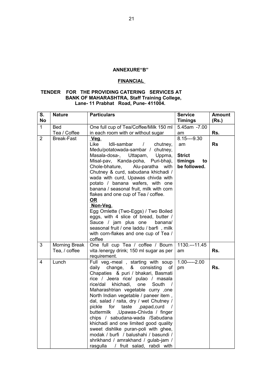#### **ANNEXURE"B"**

## **FINANCIAL**

## **TENDER FOR THE PROVIDING CATERING SERVICES AT BANK OF MAHARASHTRA, Staff Training College, Lane- 11 Prabhat Road, Pune- 411004.**

| S.<br><b>No</b> | <b>Nature</b>                         | <b>Particulars</b>                                                                                                                                                                                                                                                                                                                                                                                                                                                                                                                                                                                                                                          | <b>Service</b><br><b>Timings</b>                                     | <b>Amount</b><br>(Rs.) |
|-----------------|---------------------------------------|-------------------------------------------------------------------------------------------------------------------------------------------------------------------------------------------------------------------------------------------------------------------------------------------------------------------------------------------------------------------------------------------------------------------------------------------------------------------------------------------------------------------------------------------------------------------------------------------------------------------------------------------------------------|----------------------------------------------------------------------|------------------------|
| $\mathbf{1}$    | <b>Bed</b>                            | One full cup of Tea/Coffee/Milk 150 ml                                                                                                                                                                                                                                                                                                                                                                                                                                                                                                                                                                                                                      | 5.45am -7.00                                                         |                        |
|                 | Tea / Coffee                          | in each room with or without sugar                                                                                                                                                                                                                                                                                                                                                                                                                                                                                                                                                                                                                          | am                                                                   | Rs.                    |
| $\overline{2}$  | <b>Break-Fast</b>                     | Veg.<br>Like<br>Idli-sambar<br>chutney,<br>$\overline{1}$<br>Medu/potatowada-sambar / chutney,<br>Masala-dosa-,<br>Uttapam,<br>Uppma,<br>Misal-pav, Kanda-poha, Puri-bhaji,<br>Chole-bhature,<br>Alu-paratha<br>with<br>Chutney & curd, sabudana khichadi /<br>wada with curd, Upawas chivda with<br>potato / banana wafers, with one<br>banana / seasonal fruit, milk with corn<br>flakes and one cup of Tea / coffee.<br>OR<br>Non-Veg.<br>Egg Omlette (Two-Eggs) / Two Boiled<br>eggs, with 4 slice of bread, butter /<br>Sauce / jam plus one<br>banana/<br>seasonal fruit / one laddu / barfi, milk<br>with corn-flakes and one cup of Tea /<br>coffee | $8.15--9.30$<br>am<br><b>Strict</b><br>timings<br>to<br>be followed. | <b>Rs</b>              |
| 3               | <b>Morning Break</b><br>Tea, / coffee | One full cup Tea / coffee / Bourn<br>vita / energy drink; 150 ml sugar as per<br>requirement.                                                                                                                                                                                                                                                                                                                                                                                                                                                                                                                                                               | 1130 .--- 11.45<br>am                                                | Rs.                    |
| $\overline{4}$  | Lunch                                 | Full veg.-meal, starting with soup<br>daily change, & consisting<br>of<br>Chapaties & puri / bhakari, Basmati<br>rice / Jeera rice/ pulao / masala<br>rice/dal khichadi, one<br>South<br>Maharashtrian vegetable curry ,one<br>North Indian vegetable / paneer item,<br>dal, salad / raita, dry / wet Chutney /<br>pickle<br>for taste , papad, curd<br>$\sqrt{ }$<br>buttermilk ,Upawas-Chivda / finger<br>chips / sabudana-wada /Sabudana<br>khichadi and one limited good quality<br>sweet dishlike puran-poli with ghee,<br>modak / burfi / balushahi / basundi /<br>shrikhand / amrakhand / gulab-jam /<br>/ fruit salad, rabdi with<br>rasgulla       | $1.00---2.00$<br>pm                                                  | Rs.                    |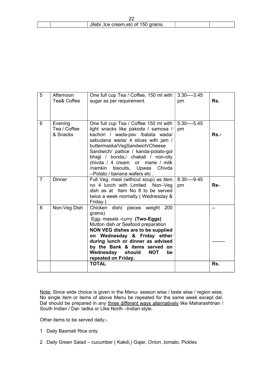|  | Jilebi, Ice cream, etc of 150 grams. |  |  |  |  |
|--|--------------------------------------|--|--|--|--|

| $\overline{5}$ | Afternoon<br>Tea& Coffee            | One full cup Tea / Coffee, 150 ml with<br>sugar as per requirement.                                                                                                                                                                                                                                                                                                            | $3.30---3.45$<br>pm | Rs.     |
|----------------|-------------------------------------|--------------------------------------------------------------------------------------------------------------------------------------------------------------------------------------------------------------------------------------------------------------------------------------------------------------------------------------------------------------------------------|---------------------|---------|
| 6              | Evening<br>Tea / Coffee<br>& Snacks | One full cup Tea / Coffee 150 ml with<br>light snacks like pakoda / samosa /<br>kachori / wada-pav /batata wada/<br>sabudana wada/ 4 slices with jam /<br>buttermaska/VegSandwich/Cheese<br>Sandwich/ pattice / kanda-potato-gol<br>bhajji / bonda,/ chakali / non-oily<br>chivda / 4 cream or marie / milk<br>/namkin biscuits, Upwas Chivda<br>--Potato / banana wafers etc. | $5.30---5.45$<br>pm | $Rs. -$ |
| $\overline{7}$ | <b>Dinner</b>                       | Full Veg. meal (without soup) as item<br>no 4 lunch with Limited Non-Veg<br>dish as at Item No 8 to be served<br>twice a week normally (Wednesday &<br>Friday)                                                                                                                                                                                                                 | $8.30---9.45$<br>pm | Rs-     |
| 8              | Non-Veg Dish                        | Chicken dish( pieces weight 200<br>grams)<br>Egg- masala -curry (Two-Eggs)<br>Mutton dish or Seafood preparation<br>NON VEG dishes are to be supplied<br>on Wednesday & Friday either<br>during lunch or dinner as advised<br>by the Bank & items served on<br>Wednesday should<br><b>NOT</b><br>be<br>repeated on Friday.                                                     |                     | --      |
|                |                                     | <b>TOTAL</b>                                                                                                                                                                                                                                                                                                                                                                   |                     | Rs.     |

Note: Since wide choice is given in the Menu- season wise / taste wise / region wise, No single item or items of above Menu be repeated for the same week except dal. Dal should be prepared in any three different ways alternatively like Maharashtrian / South Indian / Dal- tadka or LIke North –Indian style.

Other items to be served daily;-

- 1 Daily Basmati Rice only.
- 2 Daily Green Salad cucumber ( Kakdi,) Gajar, Onion ,tomato, Pickles